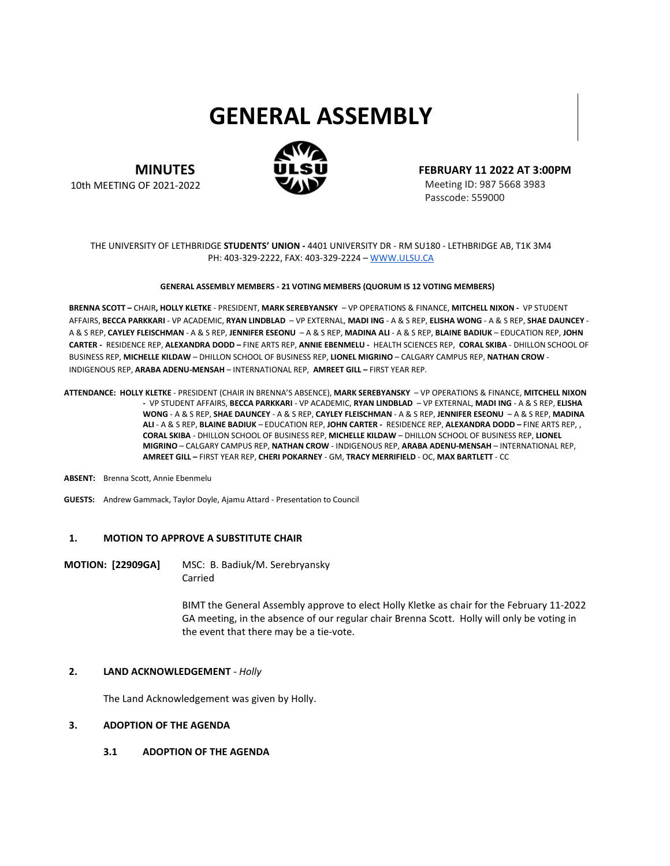# **GENERAL ASSEMBLY**



**MINUTES**

10th MEETING OF 2021-2022

**FEBRUARY 11 2022 AT 3:00PM**

Meeting ID: 987 5668 3983 Passcode: 559000

#### THE UNIVERSITY OF LETHBRIDGE **STUDENTS' UNION -** 4401 UNIVERSITY DR - RM SU180 - LETHBRIDGE AB, T1K 3M4 PH: 403-329-2222, FAX: 403-329-2224 – [WWW.ULSU.CA](http://www.ulsu.ca/)

#### **GENERAL ASSEMBLY MEMBERS - 21 VOTING MEMBERS (QUORUM IS 12 VOTING MEMBERS)**

**BRENNA SCOTT –** CHAIR**, HOLLY KLETKE** - PRESIDENT, **MARK SEREBYANSKY** – VP OPERATIONS & FINANCE, **MITCHELL NIXON -** VP STUDENT AFFAIRS, **BECCA PARKKARI** - VP ACADEMIC, **RYAN LINDBLAD** – VP EXTERNAL, **MADI ING** - A & S REP, **ELISHA WONG** - A & S REP, **SHAE DAUNCEY** - A & S REP, **CAYLEY FLEISCHMAN** - A & S REP, **JENNIFER ESEONU** – A & S REP, **MADINA ALI** - A & S REP, **BLAINE BADIUK** – EDUCATION REP, **JOHN CARTER -** RESIDENCE REP, **ALEXANDRA DODD –** FINE ARTS REP, **ANNIE EBENMELU -** HEALTH SCIENCES REP, **CORAL SKIBA** - DHILLON SCHOOL OF BUSINESS REP, **MICHELLE KILDAW** – DHILLON SCHOOL OF BUSINESS REP, **LIONEL MIGRINO** – CALGARY CAMPUS REP, **NATHAN CROW** - INDIGENOUS REP, **ARABA ADENU-MENSAH** – INTERNATIONAL REP, **AMREET GILL –** FIRST YEAR REP.

**ATTENDANCE: HOLLY KLETKE** - PRESIDENT (CHAIR IN BRENNA'S ABSENCE), **MARK SEREBYANSKY** – VP OPERATIONS & FINANCE, **MITCHELL NIXON -** VP STUDENT AFFAIRS, **BECCA PARKKARI** - VP ACADEMIC, **RYAN LINDBLAD** – VP EXTERNAL, **MADI ING** - A & S REP, **ELISHA WONG** - A & S REP, **SHAE DAUNCEY** - A & S REP, **CAYLEY FLEISCHMAN** - A & S REP, **JENNIFER ESEONU** – A & S REP, **MADINA ALI** - A & S REP, **BLAINE BADIUK** – EDUCATION REP, **JOHN CARTER -** RESIDENCE REP, **ALEXANDRA DODD –** FINE ARTS REP, , **CORAL SKIBA** - DHILLON SCHOOL OF BUSINESS REP, **MICHELLE KILDAW** – DHILLON SCHOOL OF BUSINESS REP, **LIONEL MIGRINO** – CALGARY CAMPUS REP, **NATHAN CROW** - INDIGENOUS REP, **ARABA ADENU-MENSAH** – INTERNATIONAL REP, **AMREET GILL –** FIRST YEAR REP, **CHERI POKARNEY** - GM, **TRACY MERRIFIELD** - OC, **MAX BARTLETT** - CC

#### **ABSENT:** Brenna Scott, Annie Ebenmelu

**GUESTS:** Andrew Gammack, Taylor Doyle, Ajamu Attard - Presentation to Council

#### **1. MOTION TO APPROVE A SUBSTITUTE CHAIR**

**MOTION: [22909GA]** MSC: B. Badiuk/M. Serebryansky Carried

> BIMT the General Assembly approve to elect Holly Kletke as chair for the February 11-2022 GA meeting, in the absence of our regular chair Brenna Scott. Holly will only be voting in the event that there may be a tie-vote.

#### **2. LAND ACKNOWLEDGEMENT** *- Holly*

The Land Acknowledgement was given by Holly.

#### **3. ADOPTION OF THE AGENDA**

**3.1 ADOPTION OF THE AGENDA**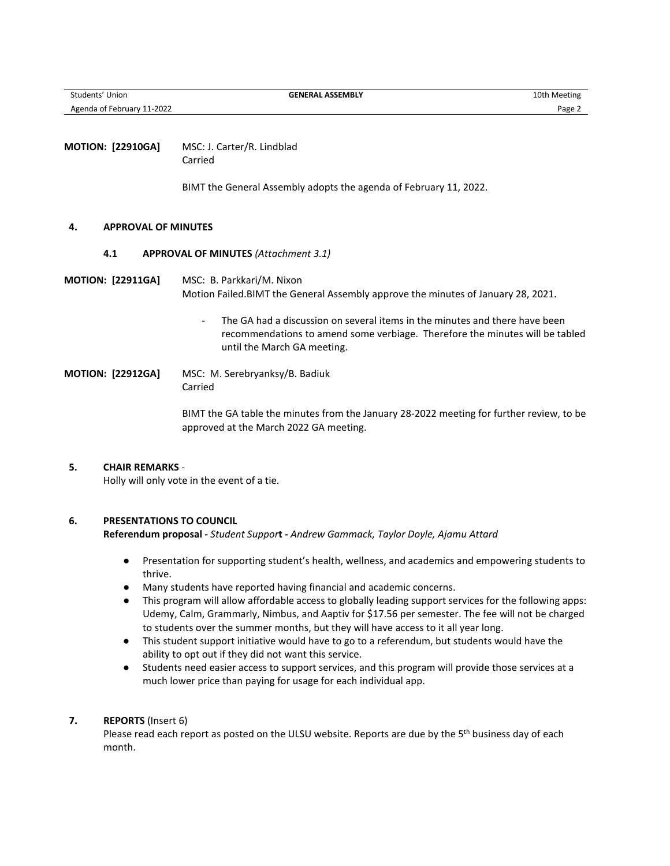**Students' Union 10th Meeting CENERAL ASSEMBLY GENERAL ASSEMBLY** 10th Meeting Agenda of February 11-2022 **Page 2** 

**MOTION: [22910GA]** MSC: J. Carter/R. Lindblad Carried

BIMT the General Assembly adopts the agenda of February 11, 2022.

#### **4. APPROVAL OF MINUTES**

**4.1 APPROVAL OF MINUTES** *(Attachment 3.1)*

**MOTION: [22911GA]** MSC: B. Parkkari/M. Nixon Motion Failed.BIMT the General Assembly approve the minutes of January 28, 2021.

> The GA had a discussion on several items in the minutes and there have been recommendations to amend some verbiage. Therefore the minutes will be tabled until the March GA meeting.

**MOTION: [22912GA]** MSC: M. Serebryanksy/B. Badiuk Carried

> BIMT the GA table the minutes from the January 28-2022 meeting for further review, to be approved at the March 2022 GA meeting.

# **5. CHAIR REMARKS** *-*

Holly will only vote in the event of a tie.

# **6. PRESENTATIONS TO COUNCIL**

**Referendum proposal -** *Student Suppor***t -** *Andrew Gammack, Taylor Doyle, Ajamu Attard*

- Presentation for supporting student's health, wellness, and academics and empowering students to thrive.
- Many students have reported having financial and academic concerns.
- This program will allow affordable access to globally leading support services for the following apps: Udemy, Calm, Grammarly, Nimbus, and Aaptiv for \$17.56 per semester. The fee will not be charged to students over the summer months, but they will have access to it all year long.
- This student support initiative would have to go to a referendum, but students would have the ability to opt out if they did not want this service.
- Students need easier access to support services, and this program will provide those services at a much lower price than paying for usage for each individual app.

# **7. REPORTS** (Insert 6)

Please read each report as posted on the ULSU website. Reports are due by the 5<sup>th</sup> business day of each month.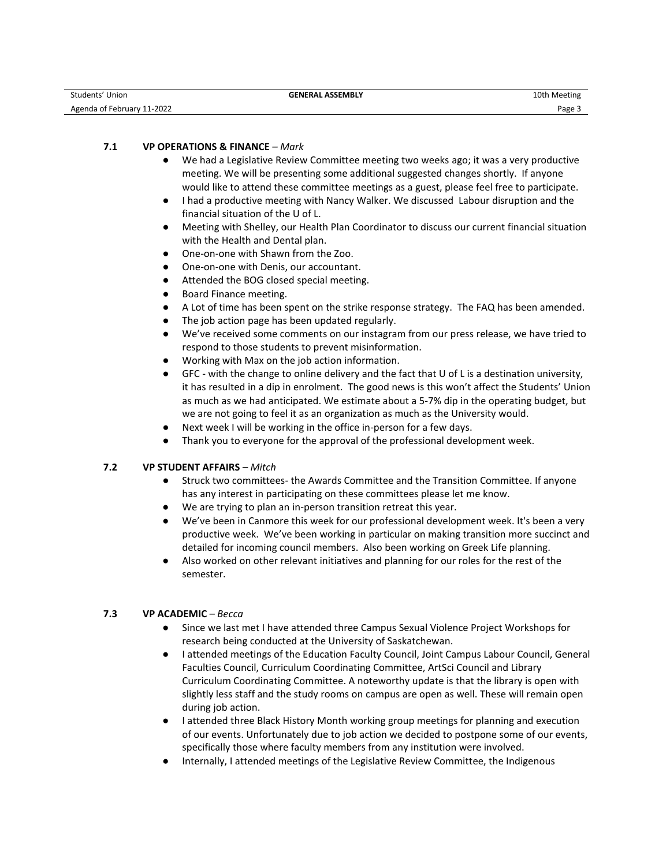| Students'<br>Union         | <b>GENERAL ASSEMBLY</b> | 10th Meeting |
|----------------------------|-------------------------|--------------|
| Agenda of February 11-2022 |                         | Page.        |

# **7.1 VP OPERATIONS & FINANCE** *– Mark*

- We had a Legislative Review Committee meeting two weeks ago; it was a very productive meeting. We will be presenting some additional suggested changes shortly. If anyone would like to attend these committee meetings as a guest, please feel free to participate.
- I had a productive meeting with Nancy Walker. We discussed Labour disruption and the financial situation of the U of L.
- Meeting with Shelley, our Health Plan Coordinator to discuss our current financial situation with the Health and Dental plan.
- One-on-one with Shawn from the Zoo.
- One-on-one with Denis, our accountant.
- Attended the BOG closed special meeting.
- Board Finance meeting.
- A Lot of time has been spent on the strike response strategy. The FAQ has been amended.
- The job action page has been updated regularly.
- We've received some comments on our instagram from our press release, we have tried to respond to those students to prevent misinformation.
- Working with Max on the job action information.
- GFC with the change to online delivery and the fact that U of L is a destination university, it has resulted in a dip in enrolment. The good news is this won't affect the Students' Union as much as we had anticipated. We estimate about a 5-7% dip in the operating budget, but we are not going to feel it as an organization as much as the University would.
- Next week I will be working in the office in-person for a few days.
- Thank you to everyone for the approval of the professional development week.

# **7.2 VP STUDENT AFFAIRS** *– Mitch*

- Struck two committees- the Awards Committee and the Transition Committee. If anyone has any interest in participating on these committees please let me know.
- We are trying to plan an in-person transition retreat this year.
- We've been in Canmore this week for our professional development week. It's been a very productive week. We've been working in particular on making transition more succinct and detailed for incoming council members. Also been working on Greek Life planning.
- Also worked on other relevant initiatives and planning for our roles for the rest of the semester.

# **7.3 VP ACADEMIC** *– Becca*

- Since we last met I have attended three Campus Sexual Violence Project Workshops for research being conducted at the University of Saskatchewan.
- I attended meetings of the Education Faculty Council, Joint Campus Labour Council, General Faculties Council, Curriculum Coordinating Committee, ArtSci Council and Library Curriculum Coordinating Committee. A noteworthy update is that the library is open with slightly less staff and the study rooms on campus are open as well. These will remain open during job action.
- I attended three Black History Month working group meetings for planning and execution of our events. Unfortunately due to job action we decided to postpone some of our events, specifically those where faculty members from any institution were involved.
- Internally, I attended meetings of the Legislative Review Committee, the Indigenous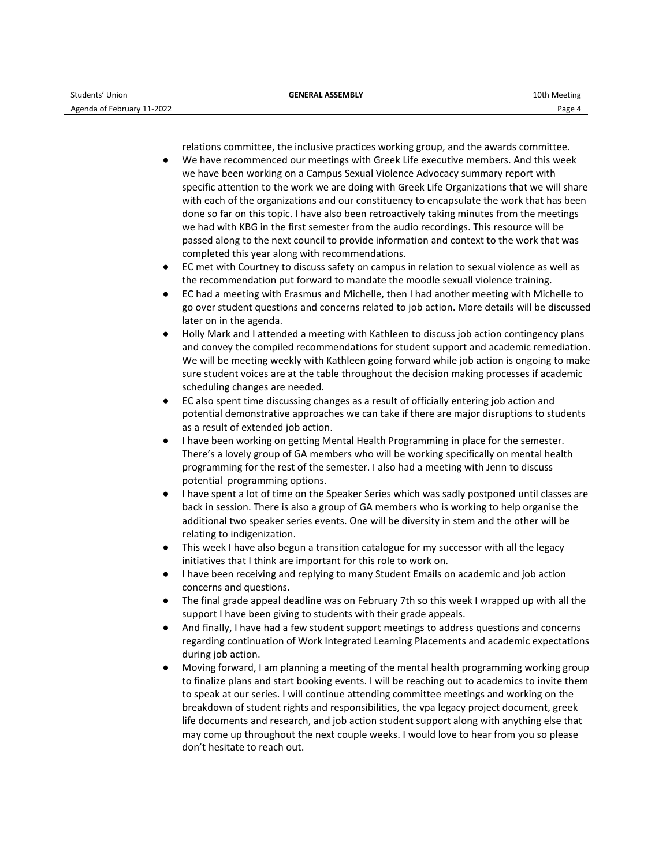relations committee, the inclusive practices working group, and the awards committee.

- We have recommenced our meetings with Greek Life executive members. And this week we have been working on a Campus Sexual Violence Advocacy summary report with specific attention to the work we are doing with Greek Life Organizations that we will share with each of the organizations and our constituency to encapsulate the work that has been done so far on this topic. I have also been retroactively taking minutes from the meetings we had with KBG in the first semester from the audio recordings. This resource will be passed along to the next council to provide information and context to the work that was completed this year along with recommendations.
- EC met with Courtney to discuss safety on campus in relation to sexual violence as well as the recommendation put forward to mandate the moodle sexuall violence training.
- EC had a meeting with Erasmus and Michelle, then I had another meeting with Michelle to go over student questions and concerns related to job action. More details will be discussed later on in the agenda.
- Holly Mark and I attended a meeting with Kathleen to discuss job action contingency plans and convey the compiled recommendations for student support and academic remediation. We will be meeting weekly with Kathleen going forward while job action is ongoing to make sure student voices are at the table throughout the decision making processes if academic scheduling changes are needed.
- EC also spent time discussing changes as a result of officially entering job action and potential demonstrative approaches we can take if there are major disruptions to students as a result of extended job action.
- I have been working on getting Mental Health Programming in place for the semester. There's a lovely group of GA members who will be working specifically on mental health programming for the rest of the semester. I also had a meeting with Jenn to discuss potential programming options.
- I have spent a lot of time on the Speaker Series which was sadly postponed until classes are back in session. There is also a group of GA members who is working to help organise the additional two speaker series events. One will be diversity in stem and the other will be relating to indigenization.
- This week I have also begun a transition catalogue for my successor with all the legacy initiatives that I think are important for this role to work on.
- I have been receiving and replying to many Student Emails on academic and job action concerns and questions.
- The final grade appeal deadline was on February 7th so this week I wrapped up with all the support I have been giving to students with their grade appeals.
- And finally, I have had a few student support meetings to address questions and concerns regarding continuation of Work Integrated Learning Placements and academic expectations during job action.
- Moving forward, I am planning a meeting of the mental health programming working group to finalize plans and start booking events. I will be reaching out to academics to invite them to speak at our series. I will continue attending committee meetings and working on the breakdown of student rights and responsibilities, the vpa legacy project document, greek life documents and research, and job action student support along with anything else that may come up throughout the next couple weeks. I would love to hear from you so please don't hesitate to reach out.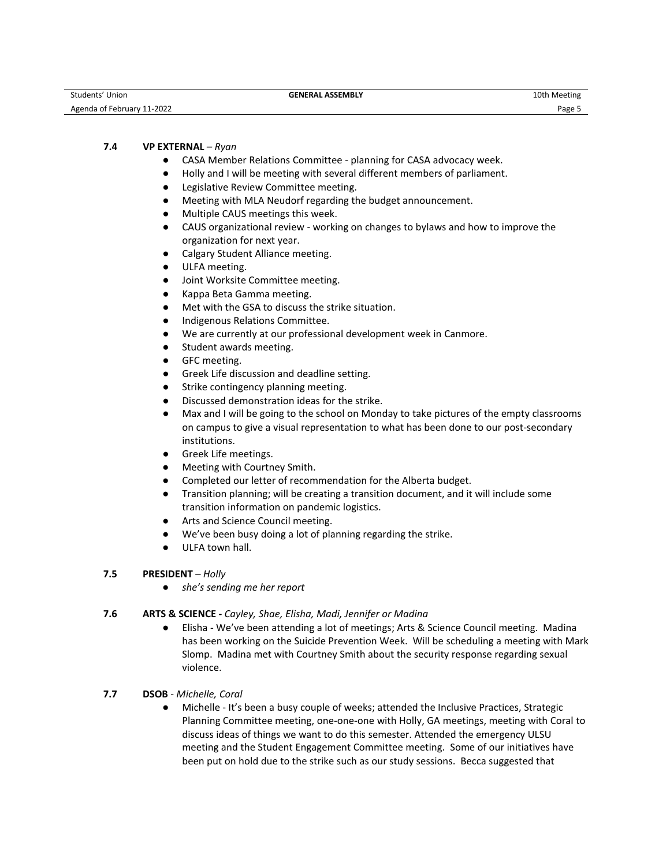| Students' Union            | <b>GENERAL ASSEMBLY</b> | 10th Meeting |
|----------------------------|-------------------------|--------------|
| Agenda of February 11-2022 |                         | $Page$ .     |

# **7.4 VP EXTERNAL** *– Ryan*

- CASA Member Relations Committee planning for CASA advocacy week.
- Holly and I will be meeting with several different members of parliament.
- Legislative Review Committee meeting.
- Meeting with MLA Neudorf regarding the budget announcement.
- Multiple CAUS meetings this week.
- CAUS organizational review working on changes to bylaws and how to improve the organization for next year.
- Calgary Student Alliance meeting.
- ULFA meeting.
- Joint Worksite Committee meeting.
- Kappa Beta Gamma meeting.
- Met with the GSA to discuss the strike situation.
- Indigenous Relations Committee.
- We are currently at our professional development week in Canmore.
- Student awards meeting.
- GFC meeting.
- Greek Life discussion and deadline setting.
- Strike contingency planning meeting.
- Discussed demonstration ideas for the strike.
- Max and I will be going to the school on Monday to take pictures of the empty classrooms on campus to give a visual representation to what has been done to our post-secondary institutions.
- Greek Life meetings.
- Meeting with Courtney Smith.
- Completed our letter of recommendation for the Alberta budget.
- Transition planning; will be creating a transition document, and it will include some transition information on pandemic logistics.
- Arts and Science Council meeting.
- We've been busy doing a lot of planning regarding the strike.
- ULFA town hall.

# **7.5 PRESIDENT** *– Holly*

● *she's sending me her report* 

#### **7.6 ARTS & SCIENCE -** *Cayley, Shae, Elisha, Madi, Jennifer or Madina*

- Elisha We've been attending a lot of meetings; Arts & Science Council meeting. Madina has been working on the Suicide Prevention Week. Will be scheduling a meeting with Mark Slomp. Madina met with Courtney Smith about the security response regarding sexual violence.
- **7.7 DSOB** *Michelle, Coral*
	- Michelle It's been a busy couple of weeks; attended the Inclusive Practices, Strategic Planning Committee meeting, one-one-one with Holly, GA meetings, meeting with Coral to discuss ideas of things we want to do this semester. Attended the emergency ULSU meeting and the Student Engagement Committee meeting. Some of our initiatives have been put on hold due to the strike such as our study sessions. Becca suggested that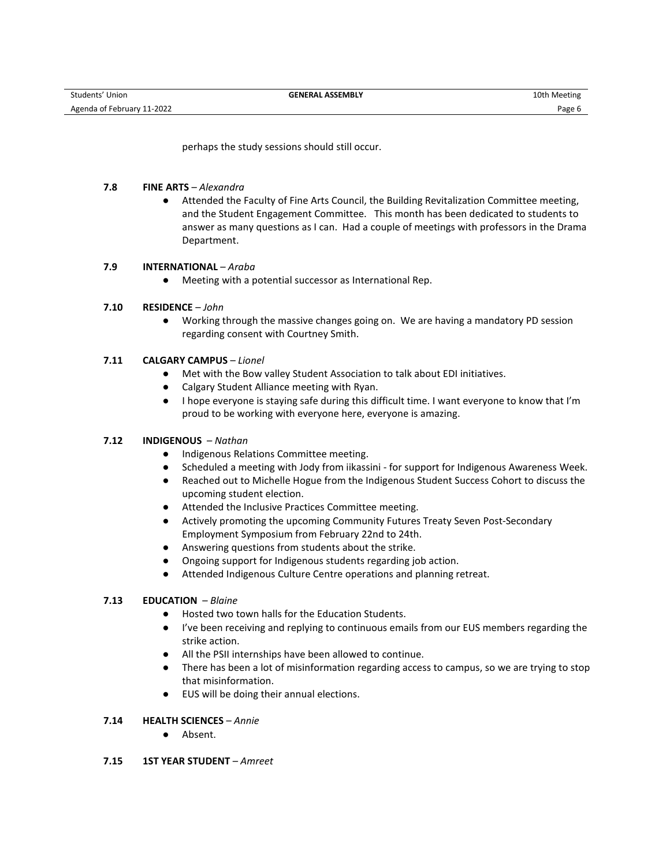perhaps the study sessions should still occur.

### **7.8 FINE ARTS** – *Alexandra*

● Attended the Faculty of Fine Arts Council, the Building Revitalization Committee meeting, and the Student Engagement Committee. This month has been dedicated to students to answer as many questions as I can. Had a couple of meetings with professors in the Drama Department.

# **7.9 INTERNATIONAL** – *Araba*

- Meeting with a potential successor as International Rep.
- **7.10 RESIDENCE** *John*
	- Working through the massive changes going on. We are having a mandatory PD session regarding consent with Courtney Smith.

## **7.11 CALGARY CAMPUS** – *Lionel*

- Met with the Bow valley Student Association to talk about EDI initiatives.
- Calgary Student Alliance meeting with Ryan.
- I hope everyone is staying safe during this difficult time. I want everyone to know that I'm proud to be working with everyone here, everyone is amazing.

#### **7.12 INDIGENOUS** – *Nathan*

- Indigenous Relations Committee meeting.
- Scheduled a meeting with Jody from iikassini for support for Indigenous Awareness Week.
- Reached out to Michelle Hogue from the Indigenous Student Success Cohort to discuss the upcoming student election.
- Attended the Inclusive Practices Committee meeting.
- Actively promoting the upcoming Community Futures Treaty Seven Post-Secondary Employment Symposium from February 22nd to 24th.
- Answering questions from students about the strike.
- Ongoing support for Indigenous students regarding job action.
- Attended Indigenous Culture Centre operations and planning retreat.

# **7.13 EDUCATION** – *Blaine*

- Hosted two town halls for the Education Students.
- I've been receiving and replying to continuous emails from our EUS members regarding the strike action.
- All the PSII internships have been allowed to continue.
- There has been a lot of misinformation regarding access to campus, so we are trying to stop that misinformation.
- EUS will be doing their annual elections.

## **7.14 HEALTH SCIENCES** – *Annie*

- Absent.
- **7.15 1ST YEAR STUDENT** *Amreet*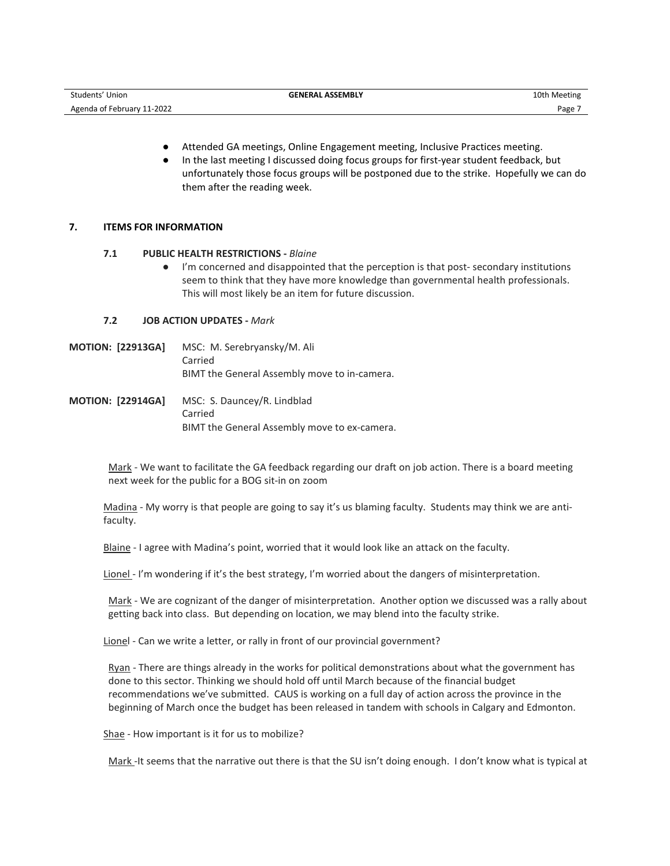| Students' Union                   | <b>GENERAL ASSEMBLY</b> | 10th Meeting |
|-----------------------------------|-------------------------|--------------|
| 11-2022<br>Agenda of February 11- |                         | Page         |

- Attended GA meetings, Online Engagement meeting, Inclusive Practices meeting.
- In the last meeting I discussed doing focus groups for first-year student feedback, but unfortunately those focus groups will be postponed due to the strike. Hopefully we can do them after the reading week.

#### **7. ITEMS FOR INFORMATION**

#### **7.1 PUBLIC HEALTH RESTRICTIONS -** *Blaine*

● I'm concerned and disappointed that the perception is that post- secondary institutions seem to think that they have more knowledge than governmental health professionals. This will most likely be an item for future discussion.

#### **7.2 JOB ACTION UPDATES -** *Mark*

- **MOTION: [22913GA]** MSC: M. Serebryansky/M. Ali Carried BIMT the General Assembly move to in-camera.
- **MOTION: [22914GA]** MSC: S. Dauncey/R. Lindblad Carried BIMT the General Assembly move to ex-camera.

Mark - We want to facilitate the GA feedback regarding our draft on job action. There is a board meeting next week for the public for a BOG sit-in on zoom

Madina - My worry is that people are going to say it's us blaming faculty. Students may think we are antifaculty.

Blaine - I agree with Madina's point, worried that it would look like an attack on the faculty.

Lionel - I'm wondering if it's the best strategy, I'm worried about the dangers of misinterpretation.

Mark - We are cognizant of the danger of misinterpretation. Another option we discussed was a rally about getting back into class. But depending on location, we may blend into the faculty strike.

Lionel - Can we write a letter, or rally in front of our provincial government?

Ryan - There are things already in the works for political demonstrations about what the government has done to this sector. Thinking we should hold off until March because of the financial budget recommendations we've submitted. CAUS is working on a full day of action across the province in the beginning of March once the budget has been released in tandem with schools in Calgary and Edmonton.

Shae - How important is it for us to mobilize?

Mark -It seems that the narrative out there is that the SU isn't doing enough. I don't know what is typical at